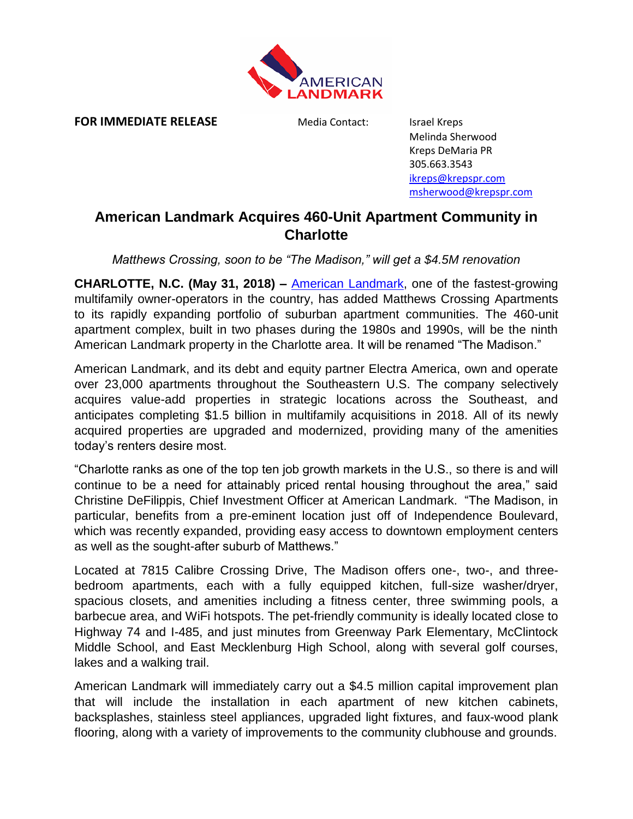

**FOR IMMEDIATE RELEASE** Media Contact: Israel Kreps

Melinda Sherwood Kreps DeMaria PR 305.663.3543 [ikreps@krepspr.com](mailto:ikreps@krepspr.com) [msherwood@krepspr.com](mailto:msherwood@krepspr.com)

## **American Landmark Acquires 460-Unit Apartment Community in Charlotte**

*Matthews Crossing, soon to be "The Madison," will get a \$4.5M renovation* 

**CHARLOTTE, N.C. (May 31, 2018) –** [American Landmark,](https://www.alapts.com/) one of the fastest-growing multifamily owner-operators in the country, has added Matthews Crossing Apartments to its rapidly expanding portfolio of suburban apartment communities. The 460-unit apartment complex, built in two phases during the 1980s and 1990s, will be the ninth American Landmark property in the Charlotte area. It will be renamed "The Madison."

American Landmark, and its debt and equity partner Electra America, own and operate over 23,000 apartments throughout the Southeastern U.S. The company selectively acquires value-add properties in strategic locations across the Southeast, and anticipates completing \$1.5 billion in multifamily acquisitions in 2018. All of its newly acquired properties are upgraded and modernized, providing many of the amenities today's renters desire most.

"Charlotte ranks as one of the top ten job growth markets in the U.S., so there is and will continue to be a need for attainably priced rental housing throughout the area," said Christine DeFilippis, Chief Investment Officer at American Landmark. "The Madison, in particular, benefits from a pre-eminent location just off of Independence Boulevard, which was recently expanded, providing easy access to downtown employment centers as well as the sought-after suburb of Matthews."

Located at 7815 Calibre Crossing Drive, The Madison offers one-, two-, and threebedroom apartments, each with a fully equipped kitchen, full-size washer/dryer, spacious closets, and amenities including a fitness center, three swimming pools, a barbecue area, and WiFi hotspots. The pet-friendly community is ideally located close to Highway 74 and I-485, and just minutes from Greenway Park Elementary, McClintock Middle School, and East Mecklenburg High School, along with several golf courses, lakes and a walking trail.

American Landmark will immediately carry out a \$4.5 million capital improvement plan that will include the installation in each apartment of new kitchen cabinets, backsplashes, stainless steel appliances, upgraded light fixtures, and faux-wood plank flooring, along with a variety of improvements to the community clubhouse and grounds.